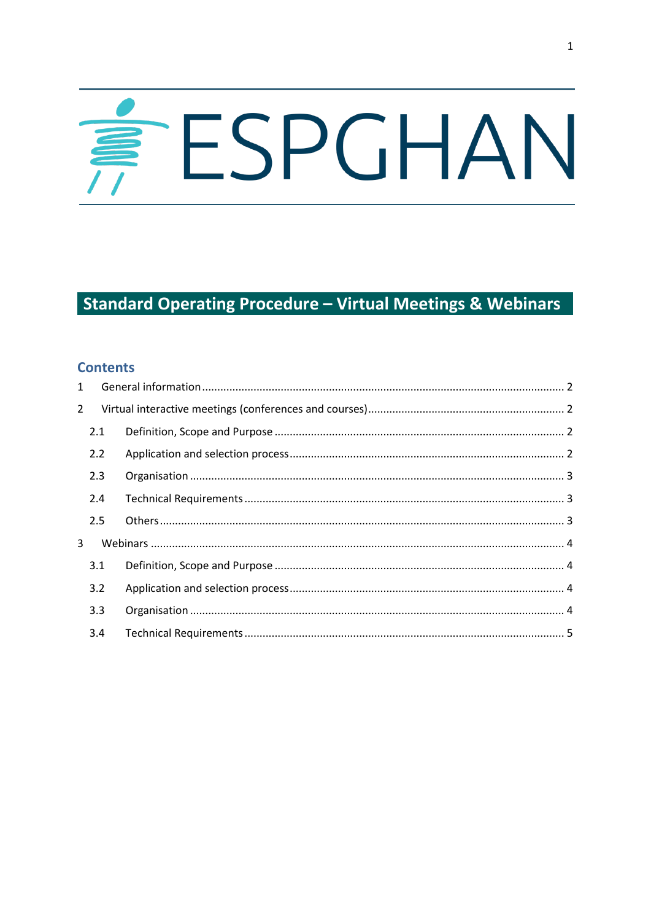# ESPGHAN

# **Standard Operating Procedure - Virtual Meetings & Webinars**

### **Contents**

| $\mathbf{1}$   |     |  |
|----------------|-----|--|
| $\overline{2}$ |     |  |
|                | 2.1 |  |
|                | 2.2 |  |
|                | 2.3 |  |
|                | 2.4 |  |
|                | 2.5 |  |
| 3              |     |  |
|                | 3.1 |  |
|                | 3.2 |  |
|                | 3.3 |  |
|                | 3.4 |  |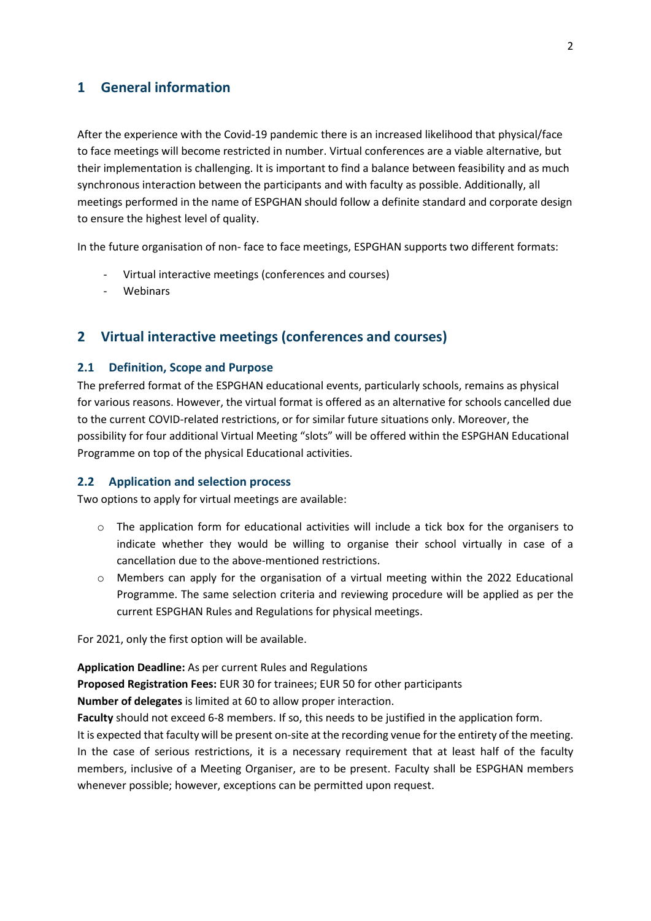## <span id="page-1-0"></span>**1 General information**

After the experience with the Covid-19 pandemic there is an increased likelihood that physical/face to face meetings will become restricted in number. Virtual conferences are a viable alternative, but their implementation is challenging. It is important to find a balance between feasibility and as much synchronous interaction between the participants and with faculty as possible. Additionally, all meetings performed in the name of ESPGHAN should follow a definite standard and corporate design to ensure the highest level of quality.

In the future organisation of non- face to face meetings, ESPGHAN supports two different formats:

- Virtual interactive meetings (conferences and courses)
- **Webinars**

### <span id="page-1-1"></span>**2 Virtual interactive meetings (conferences and courses)**

### <span id="page-1-2"></span>**2.1 Definition, Scope and Purpose**

The preferred format of the ESPGHAN educational events, particularly schools, remains as physical for various reasons. However, the virtual format is offered as an alternative for schools cancelled due to the current COVID-related restrictions, or for similar future situations only. Moreover, the possibility for four additional Virtual Meeting "slots" will be offered within the ESPGHAN Educational Programme on top of the physical Educational activities.

### <span id="page-1-3"></span>**2.2 Application and selection process**

Two options to apply for virtual meetings are available:

- $\circ$  The application form for educational activities will include a tick box for the organisers to indicate whether they would be willing to organise their school virtually in case of a cancellation due to the above-mentioned restrictions.
- $\circ$  Members can apply for the organisation of a virtual meeting within the 2022 Educational Programme. The same selection criteria and reviewing procedure will be applied as per the current ESPGHAN Rules and Regulations for physical meetings.

For 2021, only the first option will be available.

**Application Deadline:** As per current Rules and Regulations

**Proposed Registration Fees:** EUR 30 for trainees; EUR 50 for other participants

**Number of delegates** is limited at 60 to allow proper interaction.

**Faculty** should not exceed 6-8 members. If so, this needs to be justified in the application form.

It is expected that faculty will be present on-site at the recording venue for the entirety of the meeting. In the case of serious restrictions, it is a necessary requirement that at least half of the faculty members, inclusive of a Meeting Organiser, are to be present. Faculty shall be ESPGHAN members whenever possible; however, exceptions can be permitted upon request.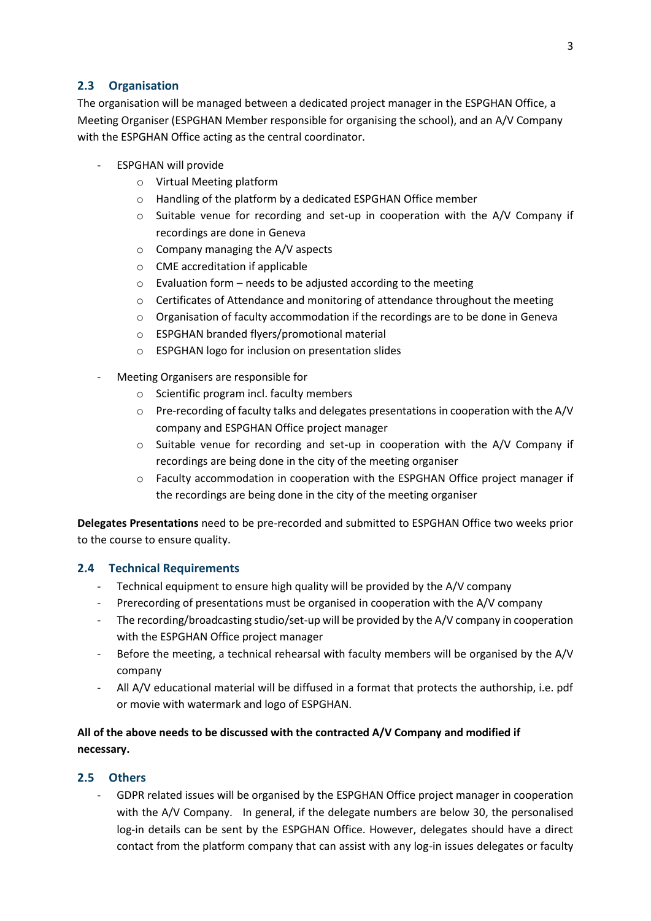<span id="page-2-0"></span>The organisation will be managed between a dedicated project manager in the ESPGHAN Office, a Meeting Organiser (ESPGHAN Member responsible for organising the school), and an A/V Company with the ESPGHAN Office acting as the central coordinator.

- ESPGHAN will provide
	- o Virtual Meeting platform
	- o Handling of the platform by a dedicated ESPGHAN Office member
	- $\circ$  Suitable venue for recording and set-up in cooperation with the A/V Company if recordings are done in Geneva
	- o Company managing the A/V aspects
	- o CME accreditation if applicable
	- $\circ$  Evaluation form needs to be adjusted according to the meeting
	- $\circ$  Certificates of Attendance and monitoring of attendance throughout the meeting
	- $\circ$  Organisation of faculty accommodation if the recordings are to be done in Geneva
	- o ESPGHAN branded flyers/promotional material
	- o ESPGHAN logo for inclusion on presentation slides
	- Meeting Organisers are responsible for
		- o Scientific program incl. faculty members
		- o Pre-recording of faculty talks and delegates presentations in cooperation with the A/V company and ESPGHAN Office project manager
		- $\circ$  Suitable venue for recording and set-up in cooperation with the A/V Company if recordings are being done in the city of the meeting organiser
		- $\circ$  Faculty accommodation in cooperation with the ESPGHAN Office project manager if the recordings are being done in the city of the meeting organiser

**Delegates Presentations** need to be pre-recorded and submitted to ESPGHAN Office two weeks prior to the course to ensure quality.

### <span id="page-2-1"></span>**2.4 Technical Requirements**

- Technical equipment to ensure high quality will be provided by the A/V company
- Prerecording of presentations must be organised in cooperation with the A/V company
- The recording/broadcasting studio/set-up will be provided by the A/V company in cooperation with the ESPGHAN Office project manager
- Before the meeting, a technical rehearsal with faculty members will be organised by the A/V company
- All A/V educational material will be diffused in a format that protects the authorship, i.e. pdf or movie with watermark and logo of ESPGHAN.

### **All of the above needs to be discussed with the contracted A/V Company and modified if necessary.**

### <span id="page-2-2"></span>**2.5 Others**

- GDPR related issues will be organised by the ESPGHAN Office project manager in cooperation with the A/V Company. In general, if the delegate numbers are below 30, the personalised log-in details can be sent by the ESPGHAN Office. However, delegates should have a direct contact from the platform company that can assist with any log-in issues delegates or faculty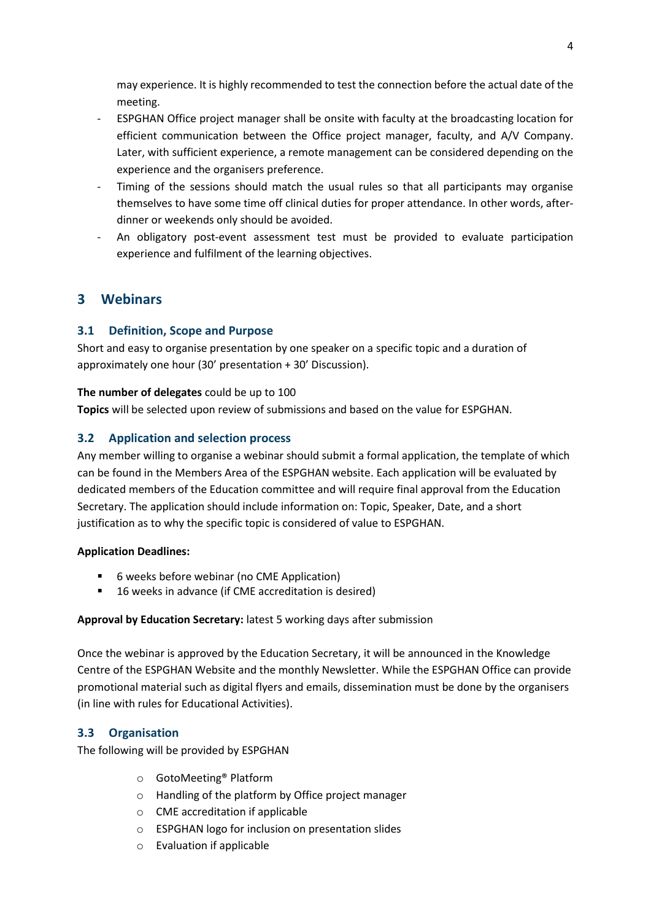may experience. It is highly recommended to test the connection before the actual date of the meeting.

- ESPGHAN Office project manager shall be onsite with faculty at the broadcasting location for efficient communication between the Office project manager, faculty, and A/V Company. Later, with sufficient experience, a remote management can be considered depending on the experience and the organisers preference.
- Timing of the sessions should match the usual rules so that all participants may organise themselves to have some time off clinical duties for proper attendance. In other words, afterdinner or weekends only should be avoided.
- An obligatory post-event assessment test must be provided to evaluate participation experience and fulfilment of the learning objectives.

# <span id="page-3-0"></span>**3 Webinars**

### <span id="page-3-1"></span>**3.1 Definition, Scope and Purpose**

Short and easy to organise presentation by one speaker on a specific topic and a duration of approximately one hour (30' presentation + 30' Discussion).

### **The number of delegates** could be up to 100

**Topics** will be selected upon review of submissions and based on the value for ESPGHAN.

### <span id="page-3-2"></span>**3.2 Application and selection process**

Any member willing to organise a webinar should submit a formal application, the template of which can be found in the Members Area of the ESPGHAN website. Each application will be evaluated by dedicated members of the Education committee and will require final approval from the Education Secretary. The application should include information on: Topic, Speaker, Date, and a short justification as to why the specific topic is considered of value to ESPGHAN.

### **Application Deadlines:**

- 6 weeks before webinar (no CME Application)
- 16 weeks in advance (if CME accreditation is desired)

### **Approval by Education Secretary:** latest 5 working days after submission

Once the webinar is approved by the Education Secretary, it will be announced in the Knowledge Centre of the ESPGHAN Website and the monthly Newsletter. While the ESPGHAN Office can provide promotional material such as digital flyers and emails, dissemination must be done by the organisers (in line with rules for Educational Activities).

### <span id="page-3-3"></span>**3.3 Organisation**

The following will be provided by ESPGHAN

- o GotoMeeting® Platform
- o Handling of the platform by Office project manager
- o CME accreditation if applicable
- o ESPGHAN logo for inclusion on presentation slides
- o Evaluation if applicable